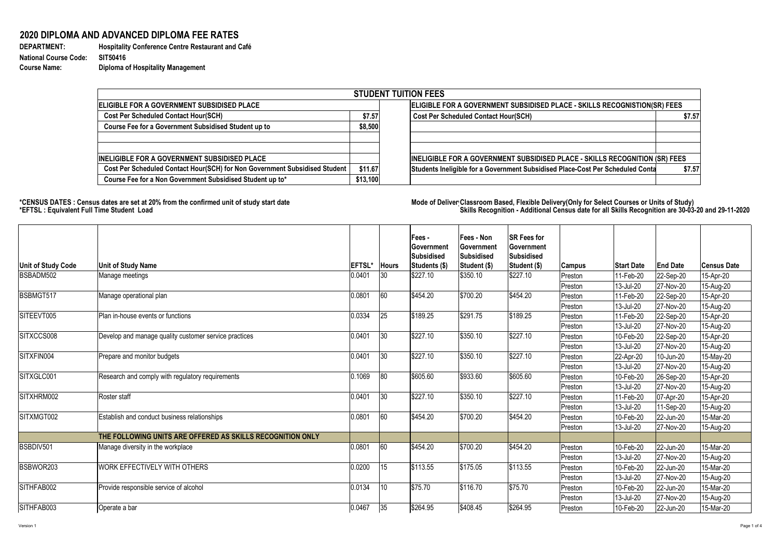## **2020 DIPLOMA AND ADVANCED DIPLOMA FEE RATES**

**National Course Code: SIT50416 Course Name: Diploma of Hospitality Management**

**DEPARTMENT: Hospitality Conference Centre Restaurant and Café** 

## \*CENSUS DATES : Census dates are set at 20% from the confirmed unit of study start date **Mode of Deliver Classroom Based, Flexible** Delivery(Only for Select Courses or Units of Study) **\*EFTSL : Equivalent Full Time Student Load Skills Recognition - Additional Census date for all Skills Recognition are 30-03-20 and 29-11-2020**

|                                                                            |                                                                           | <b>STUDENT TUITION FEES</b>                                                    |        |
|----------------------------------------------------------------------------|---------------------------------------------------------------------------|--------------------------------------------------------------------------------|--------|
|                                                                            |                                                                           |                                                                                |        |
| <b>IELIGIBLE FOR A GOVERNMENT SUBSIDISED PLACE</b>                         | ELIGIBLE FOR A GOVERNMENT SUBSIDISED PLACE - SKILLS RECOGNISTION(SR) FEES |                                                                                |        |
| <b>Cost Per Scheduled Contact Hour(SCH)</b>                                | \$7.57                                                                    | <b>Cost Per Scheduled Contact Hour(SCH)</b>                                    | \$7.57 |
| <b>Course Fee for a Government Subsidised Student up to</b>                | \$8,500                                                                   |                                                                                |        |
|                                                                            |                                                                           |                                                                                |        |
| <b>INELIGIBLE FOR A GOVERNMENT SUBSIDISED PLACE</b>                        |                                                                           | INELIGIBLE FOR A GOVERNMENT SUBSIDISED PLACE - SKILLS RECOGNITION (SR) FEES    |        |
| Cost Per Scheduled Contact Hour(SCH) for Non Government Subsidised Student | \$11.67                                                                   | Students Ineligible for a Government Subsidised Place-Cost Per Scheduled Conta | \$7.57 |
| Course Fee for a Non Government Subsidised Student up to*                  | \$13,100                                                                  |                                                                                |        |

|                                        |                                                            |                         |                    | <b>Fees-</b><br><b>Government</b><br><b>Subsidised</b> | <b>Fees - Non</b><br>Government<br>Subsidised | <b>ISR Fees for</b><br><b>Government</b><br><b>Subsidised</b> |         |                   |                 |                    |
|----------------------------------------|------------------------------------------------------------|-------------------------|--------------------|--------------------------------------------------------|-----------------------------------------------|---------------------------------------------------------------|---------|-------------------|-----------------|--------------------|
| <b>Unit of Study Code</b><br>BSBADM502 | Unit of Study Name                                         | <b>EFTSL'</b><br>0.0401 | <b>Hours</b><br>30 | Students (\$)<br>\$227.10                              | Student (\$)<br>\$350.10                      | Student (\$)<br>\$227.10                                      | Campus  | <b>Start Date</b> | <b>End Date</b> | <b>Census Date</b> |
|                                        | Manage meetings                                            |                         |                    |                                                        |                                               |                                                               | Preston | 11-Feb-20         | $ 22-Sep-20 $   | 15-Apr-20          |
| BSBMGT517                              |                                                            | 0.0801                  | 60                 | \$454.20                                               | \$700.20                                      | \$454.20                                                      | Preston | 13-Jul-20         | $ 27-Nov-20 $   | 15-Aug-20          |
|                                        | Manage operational plan                                    |                         |                    |                                                        |                                               |                                                               | Preston | 11-Feb-20         | $ 22-Sep-20 $   | 15-Apr-20          |
| SITEEVT005                             | Plan in-house events or functions                          | 0.0334                  | 25                 | \$189.25                                               | \$291.75                                      | \$189.25                                                      | Preston | 13-Jul-20         | $ 27-Nov-20 $   | 15-Aug-20          |
|                                        |                                                            |                         |                    |                                                        |                                               |                                                               | Preston | 11-Feb-20         | $ 22-Sep-20 $   | 15-Apr-20          |
| SITXCCS008                             | Develop and manage quality customer service practices      | 0.0401                  | 30                 | \$227.10                                               | \$350.10                                      | \$227.10                                                      | Preston | 13-Jul-20         | $ 27-Nov-20 $   | 15-Aug-20          |
|                                        |                                                            |                         |                    |                                                        |                                               |                                                               | Preston | 10-Feb-20         | $ 22-Sep-20 $   | 15-Apr-20          |
| SITXFIN004                             |                                                            | 0.0401                  | 30                 | \$227.10                                               | \$350.10                                      | \$227.10                                                      | Preston | 13-Jul-20         | $ 27-Nov-20 $   | 15-Aug-20          |
|                                        | Prepare and monitor budgets                                |                         |                    |                                                        |                                               |                                                               | Preston | 22-Apr-20         | $ 10$ -Jun-20   | 15-May-20          |
|                                        |                                                            |                         | 80                 |                                                        | \$933.60                                      |                                                               | Preston | 13-Jul-20         | $ 27-Nov-20 $   | 15-Aug-20          |
| SITXGLC001                             | Research and comply with regulatory requirements           | 0.1069                  |                    | \$605.60                                               |                                               | \$605.60                                                      | Preston | 10-Feb-20         | $ 26-Sep-20 $   | 15-Apr-20          |
|                                        |                                                            |                         |                    |                                                        |                                               |                                                               | Preston | 13-Jul-20         | $ 27-Nov-20 $   | 15-Aug-20          |
| SITXHRM002                             | Roster staff                                               | 0.0401                  | 30                 | \$227.10                                               | \$350.10                                      | \$227.10                                                      | Preston | 11-Feb-20         | $ 07 - Apr-20 $ | 15-Apr-20          |
|                                        |                                                            |                         |                    |                                                        |                                               |                                                               | Preston | 13-Jul-20         | $ 11-Sep-20 $   | 15-Aug-20          |
| SITXMGT002                             | Establish and conduct business relationships               | 0.0801                  | 60                 | \$454.20                                               | \$700.20                                      | \$454.20                                                      | Preston | 10-Feb-20         | 22-Jun-20       | 15-Mar-20          |
|                                        |                                                            |                         |                    |                                                        |                                               |                                                               | Preston | 13-Jul-20         | $ 27-Nov-20 $   | 15-Aug-20          |
|                                        | THE FOLLOWING UNITS ARE OFFERED AS SKILLS RECOGNITION ONLY |                         |                    |                                                        |                                               |                                                               |         |                   |                 |                    |
| BSBDIV501                              | Manage diversity in the workplace                          | 0.0801                  | 60                 | \$454.20                                               | \$700.20                                      | \$454.20                                                      | Preston | 10-Feb-20         | $ 22$ -Jun-20   | 15-Mar-20          |
|                                        |                                                            |                         |                    |                                                        |                                               |                                                               | Preston | 13-Jul-20         | $ 27-Nov-20 $   | 15-Aug-20          |
| BSBWOR203                              | WORK EFFECTIVELY WITH OTHERS                               | 0.0200                  | 15                 | \$113.55                                               | \$175.05                                      | \$113.55                                                      | Preston | 10-Feb-20         | $ 22$ -Jun-20   | 15-Mar-20          |
|                                        |                                                            |                         |                    |                                                        |                                               |                                                               | Preston | 13-Jul-20         | $ 27-Nov-20 $   | 15-Aug-20          |
| SITHFAB002                             | Provide responsible service of alcohol                     | 0.0134                  | 10                 | \$75.70                                                | \$116.70                                      | \$75.70                                                       | Preston | 10-Feb-20         | $ 22$ -Jun-20   | 15-Mar-20          |
|                                        |                                                            |                         |                    |                                                        |                                               |                                                               | Preston | 13-Jul-20         | $ 27-Nov-20 $   | 15-Aug-20          |
| SITHFAB003                             | Operate a bar                                              | 0.0467                  | 35                 | \$264.95                                               | \$408.45                                      | \$264.95                                                      | Preston | 10-Feb-20         | 22-Jun-20       | 15-Mar-20          |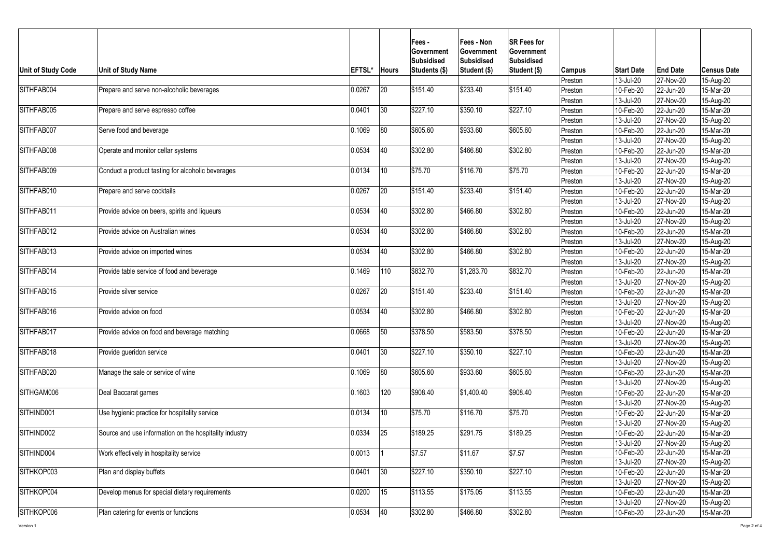| <b>Unit of Study Code</b> | <b>Unit of Study Name</b>                              | <b>EFTSL*</b> | <b>Hours</b>  | <b>Fees-</b><br><b>Government</b><br>Subsidised<br>Students (\$) | <b>Fees - Non</b><br>Government<br>Subsidised<br>Student (\$) | <b>ISR Fees for</b><br><b>Government</b><br><b>Subsidised</b><br><b>Student (\$)</b> | Campus  | <b>Start Date</b> | <b>End Date</b> | <b>Census Date</b> |
|---------------------------|--------------------------------------------------------|---------------|---------------|------------------------------------------------------------------|---------------------------------------------------------------|--------------------------------------------------------------------------------------|---------|-------------------|-----------------|--------------------|
|                           |                                                        |               |               |                                                                  |                                                               |                                                                                      | Preston | 13-Jul-20         | 27-Nov-20       | 15-Aug-20          |
| SITHFAB004                | Prepare and serve non-alcoholic beverages              | 0.0267        | 20            | \$151.40                                                         | \$233.40                                                      | \$151.40                                                                             | Preston | 10-Feb-20         | 22-Jun-20       | 15-Mar-20          |
|                           |                                                        |               |               |                                                                  |                                                               |                                                                                      | Preston | 13-Jul-20         | 27-Nov-20       | 15-Aug-20          |
| SITHFAB005                | Prepare and serve espresso coffee                      | 0.0401        | 30            | \$227.10                                                         | \$350.10                                                      | \$227.10                                                                             | Preston | 10-Feb-20         | 22-Jun-20       | 15-Mar-20          |
|                           |                                                        |               |               |                                                                  |                                                               |                                                                                      | Preston | 13-Jul-20         | 27-Nov-20       | 15-Aug-20          |
| SITHFAB007                | Serve food and beverage                                | 0.1069        | 80            | \$605.60                                                         | \$933.60                                                      | \$605.60                                                                             | Preston | 10-Feb-20         | 22-Jun-20       | 15-Mar-20          |
|                           |                                                        |               |               |                                                                  |                                                               |                                                                                      | Preston | 13-Jul-20         | 27-Nov-20       | 15-Aug-20          |
| SITHFAB008                | Operate and monitor cellar systems                     | 0.0534        | 40            | \$302.80                                                         | \$466.80                                                      | \$302.80                                                                             | Preston | 10-Feb-20         | 22-Jun-20       | 15-Mar-20          |
|                           |                                                        |               |               |                                                                  |                                                               |                                                                                      | Preston | 13-Jul-20         | 27-Nov-20       | 15-Aug-20          |
| SITHFAB009                | Conduct a product tasting for alcoholic beverages      | 0.0134        |               | \$75.70                                                          | \$116.70                                                      | \$75.70                                                                              | Preston | 10-Feb-20         | 22-Jun-20       | 15-Mar-20          |
|                           |                                                        |               |               |                                                                  |                                                               |                                                                                      | Preston | 13-Jul-20         | 27-Nov-20       | 15-Aug-20          |
| SITHFAB010                | Prepare and serve cocktails                            | 0.0267        | 20            | \$151.40                                                         | \$233.40                                                      | \$151.40                                                                             | Preston | 10-Feb-20         | 22-Jun-20       | 15-Mar-20          |
|                           |                                                        |               |               |                                                                  |                                                               |                                                                                      | Preston | 13-Jul-20         | 27-Nov-20       | 15-Aug-20          |
| SITHFAB011                | Provide advice on beers, spirits and liqueurs          | 0.0534        | 40            | \$302.80                                                         | \$466.80                                                      | \$302.80                                                                             | Preston | 10-Feb-20         | 22-Jun-20       | 15-Mar-20          |
|                           |                                                        |               |               |                                                                  |                                                               |                                                                                      | Preston | 13-Jul-20         | 27-Nov-20       | 15-Aug-20          |
| SITHFAB012                | Provide advice on Australian wines                     | 0.0534        | 40            | \$302.80                                                         | \$466.80                                                      | \$302.80                                                                             | Preston | 10-Feb-20         | 22-Jun-20       | 15-Mar-20          |
|                           |                                                        |               |               |                                                                  |                                                               |                                                                                      | Preston | 13-Jul-20         | 27-Nov-20       | 15-Aug-20          |
| SITHFAB013                | Provide advice on imported wines                       | 0.0534        | 40            | \$302.80                                                         | \$466.80                                                      | \$302.80                                                                             | Preston | 10-Feb-20         | 22-Jun-20       | 15-Mar-20          |
|                           |                                                        |               |               |                                                                  |                                                               |                                                                                      | Preston | 13-Jul-20         | 27-Nov-20       | 15-Aug-20          |
| SITHFAB014                | Provide table service of food and beverage             | 0.1469        | $ 110\rangle$ | \$832.70                                                         | \$1,283.70                                                    | \$832.70                                                                             | Preston | 10-Feb-20         | 22-Jun-20       | 15-Mar-20          |
|                           |                                                        |               |               |                                                                  |                                                               |                                                                                      | Preston | 13-Jul-20         | 27-Nov-20       | 15-Aug-20          |
| SITHFAB015                | Provide silver service                                 | 0.0267        | 20            | \$151.40                                                         | \$233.40                                                      | \$151.40                                                                             | Preston | 10-Feb-20         | 22-Jun-20       | 15-Mar-20          |
|                           |                                                        |               |               |                                                                  |                                                               |                                                                                      | Preston | 13-Jul-20         | 27-Nov-20       | 15-Aug-20          |
| SITHFAB016                | Provide advice on food                                 | 0.0534        | 40            | \$302.80                                                         | \$466.80                                                      | \$302.80                                                                             | Preston | 10-Feb-20         | 22-Jun-20       | 15-Mar-20          |
|                           |                                                        |               |               |                                                                  |                                                               |                                                                                      | Preston | 13-Jul-20         | 27-Nov-20       | 15-Aug-20          |
| SITHFAB017                | Provide advice on food and beverage matching           | 0.0668        | 50            | \$378.50                                                         | \$583.50                                                      | \$378.50                                                                             | Preston | 10-Feb-20         | 22-Jun-20       | 15-Mar-20          |
|                           |                                                        |               |               |                                                                  |                                                               |                                                                                      | Preston | 13-Jul-20         | 27-Nov-20       | 15-Aug-20          |
| SITHFAB018                | Provide gueridon service                               | 0.0401        | 30            | \$227.10                                                         | \$350.10                                                      | \$227.10                                                                             | Preston | 10-Feb-20         | 22-Jun-20       | 15-Mar-20          |
|                           |                                                        |               |               |                                                                  |                                                               |                                                                                      | Preston | 13-Jul-20         | 27-Nov-20       | 15-Aug-20          |
| SITHFAB020                | Manage the sale or service of wine                     | 0.1069        | 80            | \$605.60                                                         | \$933.60                                                      | \$605.60                                                                             | Preston | 10-Feb-20         | 22-Jun-20       | 15-Mar-20          |
|                           |                                                        |               |               |                                                                  |                                                               |                                                                                      | Preston | 13-Jul-20         | 27-Nov-20       | 15-Aug-20          |
| SITHGAM006                | Deal Baccarat games                                    | 0.1603        | 120           | \$908.40                                                         | \$1,400.40                                                    | \$908.40                                                                             | Preston | 10-Feb-20         | 22-Jun-20       | 15-Mar-20          |
|                           |                                                        |               |               |                                                                  |                                                               |                                                                                      | Preston | 13-Jul-20         | 27-Nov-20       | 15-Aug-20          |
| SITHIND001                | Use hygienic practice for hospitality service          | 0.0134        | 10            | \$75.70                                                          | \$116.70                                                      | \$75.70                                                                              | Preston | 10-Feb-20         | 22-Jun-20       | 15-Mar-20          |
|                           |                                                        |               |               |                                                                  |                                                               |                                                                                      | Preston | 13-Jul-20         | 27-Nov-20       | 15-Aug-20          |
| SITHIND002                | Source and use information on the hospitality industry | 0.0334        | 25            | \$189.25                                                         | \$291.75                                                      | \$189.25                                                                             | Preston | 10-Feb-20         | $ 22$ -Jun-20   | 15-Mar-20          |
|                           |                                                        |               |               |                                                                  |                                                               |                                                                                      | Preston | 13-Jul-20         | 27-Nov-20       | 15-Aug-20          |
| SITHIND004                | Work effectively in hospitality service                | 0.0013        |               | \$7.57                                                           | \$11.67                                                       | \$7.57                                                                               | Preston | 10-Feb-20         | 22-Jun-20       | 15-Mar-20          |
|                           |                                                        |               |               |                                                                  |                                                               |                                                                                      | Preston | 13-Jul-20         | 27-Nov-20       | 15-Aug-20          |
| SITHKOP003                | Plan and display buffets                               | 0.0401        | 30            | \$227.10                                                         | \$350.10                                                      | \$227.10                                                                             | Preston | 10-Feb-20         | 22-Jun-20       | 15-Mar-20          |
|                           |                                                        |               |               |                                                                  |                                                               |                                                                                      | Preston | 13-Jul-20         | $ 27-Nov-20 $   | 15-Aug-20          |
| SITHKOP004                | Develop menus for special dietary requirements         | 0.0200        |               | $\frac{1}{1}$ \$113.55                                           | \$175.05                                                      | \$113.55                                                                             | Preston | 10-Feb-20         | $ 22$ -Jun-20   | 15-Mar-20          |
|                           |                                                        |               |               |                                                                  |                                                               |                                                                                      | Preston | 13-Jul-20         | 27-Nov-20       | 15-Aug-20          |
| SITHKOP006                | Plan catering for events or functions                  | 0.0534        | 40            | \$302.80                                                         | \$466.80                                                      | \$302.80                                                                             | Preston | 10-Feb-20         | $ 22$ -Jun-20   | $15$ -Mar-20       |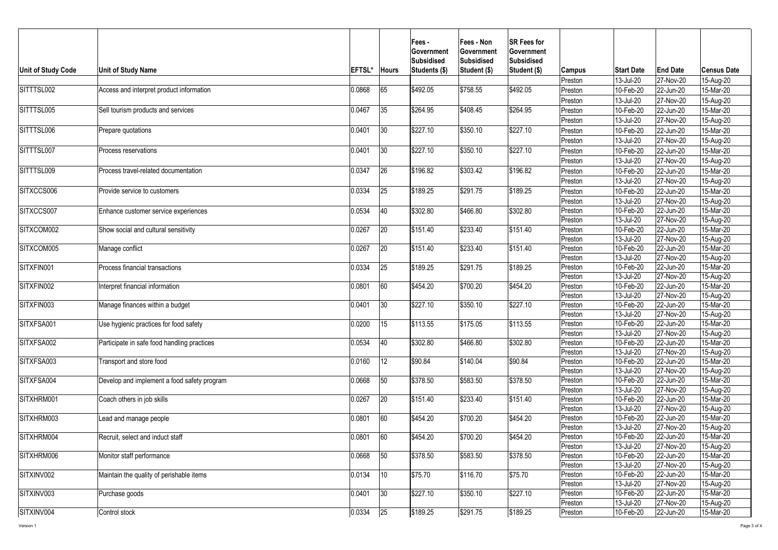| <b>Unit of Study Code</b> | <b>Unit of Study Name</b>                   | <b>EFTSL*</b> | <b>Hours</b> | <b>Fees-</b><br><b>Government</b><br> Subsidised<br>Students (\$) | <b>Fees - Non</b><br><b>Government</b><br>Subsidised<br>Student (\$) | <b>ISR Fees for</b><br><b>Government</b><br><b>Subsidised</b><br>Student (\$) | Campus             | <b>Start Date</b>      | <b>End Date</b>            | <b>Census Date</b>     |
|---------------------------|---------------------------------------------|---------------|--------------|-------------------------------------------------------------------|----------------------------------------------------------------------|-------------------------------------------------------------------------------|--------------------|------------------------|----------------------------|------------------------|
|                           |                                             |               |              |                                                                   |                                                                      |                                                                               | Preston            | 13-Jul-20              | 27-Nov-20                  | 15-Aug-20              |
| SITTTSL002                | Access and interpret product information    | 0.0868        | 65           | \$492.05                                                          | \$758.55                                                             | \$492.05                                                                      | Preston            | 10-Feb-20              | $ 22$ -Jun-20              | 15-Mar-20              |
|                           |                                             |               |              |                                                                   |                                                                      |                                                                               | Preston            | 13-Jul-20              | 27-Nov-20                  | 15-Aug-20              |
| SITTTSL005                | Sell tourism products and services          | 0.0467        | 35           | \$264.95                                                          | \$408.45                                                             | \$264.95                                                                      | Preston            | 10-Feb-20              | $ 22$ -Jun-20              | 15-Mar-20              |
|                           |                                             |               |              |                                                                   |                                                                      |                                                                               | Preston            | 13-Jul-20              | 27-Nov-20                  | 15-Aug-20              |
| SITTTSL006                | Prepare quotations                          | 0.0401        | 30           | \$227.10                                                          | \$350.10                                                             | \$227.10                                                                      | Preston            | 10-Feb-20              | $ 22$ -Jun-20              | 15-Mar-20              |
|                           |                                             |               |              |                                                                   |                                                                      |                                                                               | Preston            | 13-Jul-20              | $ 27-Nov-20 $              | 15-Aug-20              |
| SITTTSL007                | <b>Process reservations</b>                 | 0.0401        | 30           | \$227.10                                                          | \$350.10                                                             | \$227.10                                                                      | Preston            | 10-Feb-20              | $ 22$ -Jun-20              | 15-Mar-20              |
|                           |                                             |               |              |                                                                   |                                                                      |                                                                               | Preston            | 13-Jul-20              | 27-Nov-20                  | 15-Aug-20              |
| SITTTSL009                | Process travel-related documentation        | 0.0347        | 26           | \$196.82                                                          | \$303.42                                                             | \$196.82                                                                      | Preston            | 10-Feb-20              | 22-Jun-20                  | 15-Mar-20              |
|                           |                                             |               |              |                                                                   |                                                                      |                                                                               | Preston            | 13-Jul-20              | $ 27-Nov-20 $              | 15-Aug-20              |
| SITXCCS006                | Provide service to customers                | 0.0334        | 25           | \$189.25                                                          | \$291.75                                                             | \$189.25                                                                      |                    | 10-Feb-20              | 22-Jun-20                  | 15-Mar-20              |
|                           |                                             |               |              |                                                                   |                                                                      |                                                                               | Preston            |                        |                            |                        |
| SITXCCS007                |                                             |               | 40           | \$302.80                                                          | \$466.80                                                             | \$302.80                                                                      | Preston            | 13-Jul-20<br>10-Feb-20 | $ 27-Nov-20 $<br>22-Jun-20 | 15-Aug-20<br>15-Mar-20 |
|                           | Enhance customer service experiences        | 0.0534        |              |                                                                   |                                                                      |                                                                               | Preston<br>Preston | 13-Jul-20              | 27-Nov-20                  |                        |
| SITXCOM002                | Show social and cultural sensitivity        | 0.0267        | 20           | \$151.40                                                          | \$233.40                                                             | \$151.40                                                                      | Preston            | 10-Feb-20              | 22-Jun-20                  | 15-Aug-20<br>15-Mar-20 |
|                           |                                             |               |              |                                                                   |                                                                      |                                                                               | Preston            | 13-Jul-20              | $ 27-Nov-20 $              | 15-Aug-20              |
| SITXCOM005                | Manage conflict                             | 0.0267        | 20           | \$151.40                                                          | \$233.40                                                             | \$151.40                                                                      | Preston            | 10-Feb-20              | $ 22$ -Jun-20              | 15-Mar-20              |
|                           |                                             |               |              |                                                                   |                                                                      |                                                                               | Preston            | 13-Jul-20              | $ 27-Nov-20 $              | 15-Aug-20              |
| SITXFIN001                | Process financial transactions              | 0.0334        | 25           | \$189.25                                                          | \$291.75                                                             | \$189.25                                                                      | Preston            | 10-Feb-20              | 22-Jun-20                  | 15-Mar-20              |
|                           |                                             |               |              |                                                                   |                                                                      |                                                                               | Preston            | 13-Jul-20              | $ 27-Nov-20 $              | 15-Aug-20              |
| SITXFIN002                | Interpret financial information             | 0.0801        | 60           | $\frac{1}{9}454.20$                                               | \$700.20                                                             | \$454.20                                                                      | Preston            | 10-Feb-20              | $ 22$ -Jun-20              | 15-Mar-20              |
|                           |                                             |               |              |                                                                   |                                                                      |                                                                               | Preston            | 13-Jul-20              | $ 27-Nov-20 $              | 15-Aug-20              |
| SITXFIN003                | Manage finances within a budget             | 0.0401        | 30           | \$227.10                                                          | \$350.10                                                             | \$227.10                                                                      | Preston            | 10-Feb-20              | 22-Jun-20                  | 15-Mar-20              |
|                           |                                             |               |              |                                                                   |                                                                      |                                                                               | Preston            | 13-Jul-20              | $ 27-Nov-20 $              | 15-Aug-20              |
| SITXFSA001                | Use hygienic practices for food safety      | 0.0200        | 15           | \$113.55                                                          | \$175.05                                                             | \$113.55                                                                      | Preston            | 10-Feb-20              | $ 22$ -Jun-20              | 15-Mar-20              |
|                           |                                             |               |              |                                                                   |                                                                      |                                                                               | Preston            | 13-Jul-20              | $ 27-Nov-20 $              | 15-Aug-20              |
| SITXFSA002                | Participate in safe food handling practices | 0.0534        | 40           | \$302.80                                                          | \$466.80                                                             | \$302.80                                                                      | Preston            | 10-Feb-20              | $ 22$ -Jun-20              | 15-Mar-20              |
|                           |                                             |               |              |                                                                   |                                                                      |                                                                               | Preston            | 13-Jul-20              | $ 27-Nov-20 $              | 15-Aug-20              |
| SITXFSA003                | Transport and store food                    | 0.0160        |              | \$90.84                                                           | \$140.04                                                             | \$90.84                                                                       | Preston            | 10-Feb-20              | 22-Jun-20                  | 15-Mar-20              |
|                           |                                             |               |              |                                                                   |                                                                      |                                                                               | Preston            | 13-Jul-20              | $ 27-Nov-20 $              | 15-Aug-20              |
| SITXFSA004                | Develop and implement a food safety program | 0.0668        | 50           | \$378.50                                                          | \$583.50                                                             | \$378.50                                                                      | Preston            | 10-Feb-20              | 22-Jun-20                  | 15-Mar-20              |
|                           |                                             |               |              |                                                                   |                                                                      |                                                                               | Preston            | 13-Jul-20              | $ 27-Nov-20 $              | 15-Aug-20              |
| SITXHRM001                | Coach others in job skills                  | 0.0267        | 20           | \$151.40                                                          | \$233.40                                                             | \$151.40                                                                      | Preston            | 10-Feb-20              | $ 22$ -Jun-20              | 15-Mar-20              |
|                           |                                             |               |              |                                                                   |                                                                      |                                                                               | Preston            | 13-Jul-20              | 27-Nov-20                  | 15-Aug-20              |
| SITXHRM003                | Lead and manage people                      | 0.0801        | 60           | \$454.20                                                          | \$700.20                                                             | \$454.20                                                                      | Preston            | 10-Feb-20              | $ 22$ -Jun-20              | 15-Mar-20              |
|                           |                                             |               |              |                                                                   |                                                                      |                                                                               | Preston            | 13-Jul-20              | 27-Nov-20                  | 15-Aug-20              |
| SITXHRM004                | Recruit, select and induct staff            | 0.0801        | 60           | \$454.20                                                          | \$700.20                                                             | \$454.20                                                                      | Preston            | 10-Feb-20              | $ 22$ -Jun-20              | 15-Mar-20              |
|                           |                                             |               |              |                                                                   |                                                                      |                                                                               | Preston            | 13-Jul-20              | 27-Nov-20                  | 15-Aug-20              |
| SITXHRM006                | Monitor staff performance                   | 0.0668        | 50           | \$378.50                                                          | \$583.50                                                             | \$378.50                                                                      | Preston            | 10-Feb-20              | 22-Jun-20                  | 15-Mar-20              |
|                           |                                             |               |              |                                                                   |                                                                      |                                                                               | Preston            | 13-Jul-20              | $ 27-Nov-20 $              | 15-Aug-20              |
| SITXINV002                | Maintain the quality of perishable items    | 0.0134        | 10           | \$75.70                                                           | \$116.70                                                             | \$75.70                                                                       | Preston            | 10-Feb-20              | $ 22$ -Jun-20              | 15-Mar-20              |
|                           |                                             |               |              |                                                                   |                                                                      |                                                                               | Preston            | 13-Jul-20              | 27-Nov-20                  | 15-Aug-20              |
| SITXINV003                | Purchase goods                              | 0.0401        | 30           | \$227.10                                                          | \$350.10                                                             | \$227.10                                                                      | Preston            | 10-Feb-20              | $ 22$ -Jun-20              | 15-Mar-20              |
|                           |                                             |               |              |                                                                   |                                                                      |                                                                               | Preston            | 13-Jul-20              | $ 27-Nov-20 $              | 15-Aug-20              |
| SITXINV004                | Control stock                               | 0.0334        | <b>25</b>    | \$189.25                                                          | \$291.75                                                             | \$189.25                                                                      | Preston            | 10-Feb-20              | $ 22$ -Jun-20              | 15-Mar-20              |